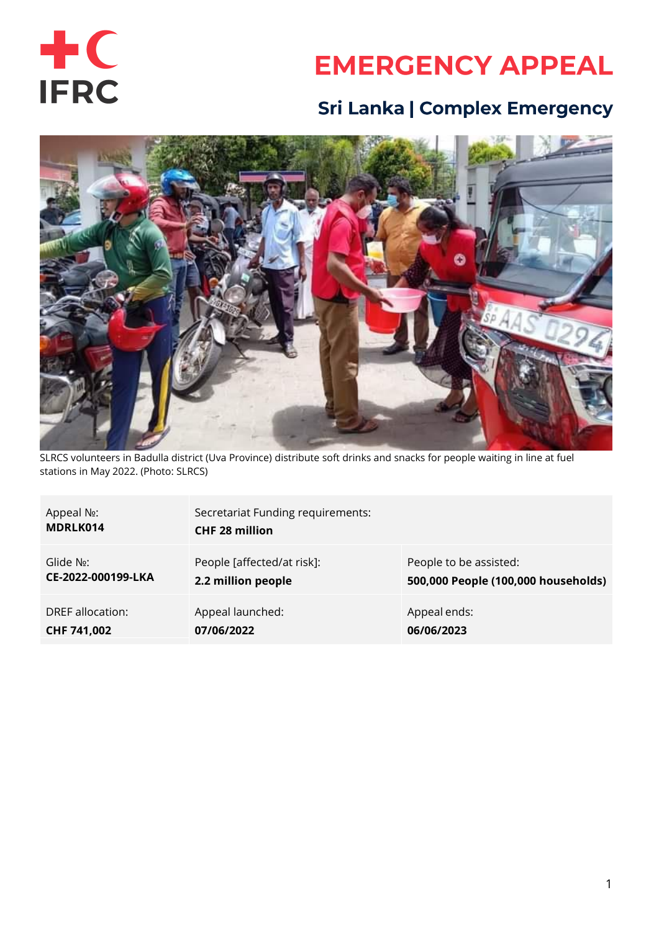# +C<br>IFRC

## **EMERGENCY APPEAL**

## Sri Lanka | Complex Emergency



SLRCS volunteers in Badulla district (Uva Province) distribute soft drinks and snacks for people waiting in line at fuel stations in May 2022. (Photo: SLRCS)

| Appeal N <sub>2</sub> :<br>MDRLK014 | Secretariat Funding requirements:<br><b>CHF 28 million</b> |                                     |
|-------------------------------------|------------------------------------------------------------|-------------------------------------|
| Glide N <sub>2</sub> :              | People [affected/at risk]:                                 | People to be assisted:              |
| CE-2022-000199-LKA                  | 2.2 million people                                         | 500,000 People (100,000 households) |
| DREF allocation:                    | Appeal launched:                                           | Appeal ends:                        |
| <b>CHF 741,002</b>                  | 07/06/2022                                                 | 06/06/2023                          |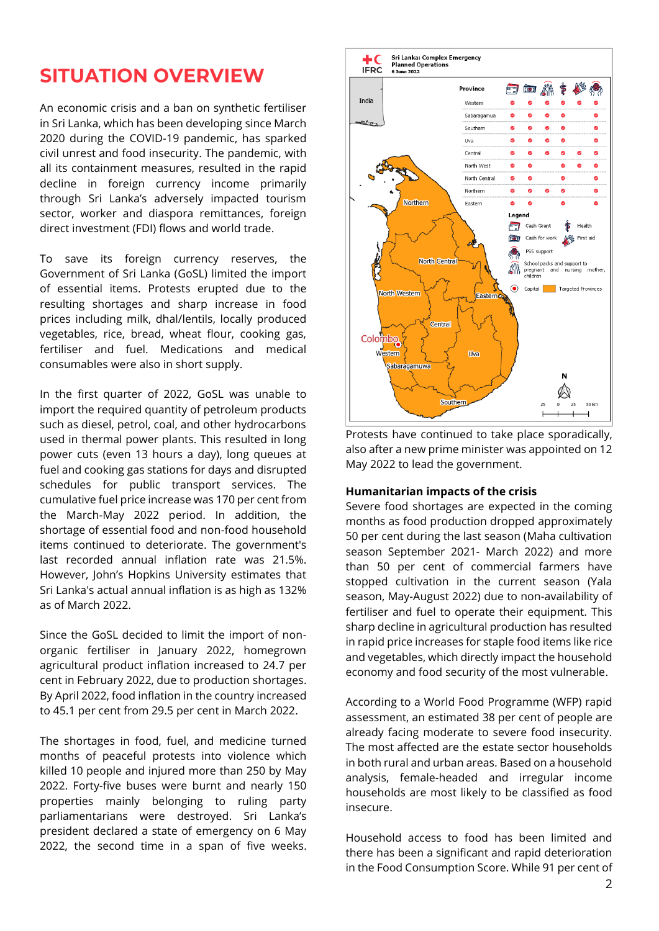## **SITUATION OVERVIEW**

An economic crisis and a ban on synthetic fertiliser in Sri Lanka, which has been developing since March 2020 during the COVID-19 pandemic, has sparked civil unrest and food insecurity. The pandemic, with all its containment measures, resulted in the rapid decline in foreign currency income primarily through Sri Lanka's adversely impacted tourism sector, worker and diaspora remittances, foreign direct investment (FDI) flows and world trade.

To save its foreign currency reserves, the Government of Sri Lanka (GoSL) limited the import of essential items. Protests erupted due to the resulting shortages and sharp increase in food prices including milk, dhal/lentils, locally produced vegetables, rice, bread, wheat flour, cooking gas, fertiliser and fuel. Medications and medical consumables were also in short supply.

In the first quarter of 2022, GoSL was unable to import the required quantity of petroleum products such as diesel, petrol, coal, and other hydrocarbons used in thermal power plants. This resulted in long power cuts (even 13 hours a day), long queues at fuel and cooking gas stations for days and disrupted schedules for public transport services. The cumulative fuel price increase was 170 per cent from the March-May 2022 period. In addition, the shortage of essential food and non-food household items continued to deteriorate. The government's last recorded annual inflation rate was 21.5%. However, John's Hopkins University estimates that Sri Lanka's actual annual inflation is as high as 132% as of March 2022.

Since the GoSL decided to limit the import of nonorganic fertiliser in January 2022, homegrown agricultural product inflation increased to 24.7 per cent in February 2022, due to production shortages. By April 2022, food inflation in the country increased to 45.1 per cent from 29.5 per cent in March 2022.

The shortages in food, fuel, and medicine turned months of peaceful protests into violence which killed 10 people and injured more than 250 by May 2022. Forty-five buses were burnt and nearly 150 properties mainly belonging to ruling party parliamentarians were destroyed. Sri Lanka's president declared a state of emergency on 6 May 2022, the second time in a span of five weeks.



Protests have continued to take place sporadically, also after a new prime minister was appointed on 12 May 2022 to lead the government.

#### **Humanitarian impacts of the crisis**

Severe food shortages are expected in the coming months as food production dropped approximately 50 per cent during the last season (Maha cultivation season September 2021- March 2022) and more than 50 per cent of commercial farmers have stopped cultivation in the current season (Yala season, May-August 2022) due to non-availability of fertiliser and fuel to operate their equipment. This sharp decline in agricultural production has resulted in rapid price increases for staple food items like rice and vegetables, which directly impact the household economy and food security of the most vulnerable.

According to a World Food Programme (WFP) rapid assessment, an estimated 38 per cent of people are already facing moderate to severe food insecurity. The most affected are the estate sector households in both rural and urban areas. Based on a household analysis, female-headed and irregular income households are most likely to be classified as food insecure.

Household access to food has been limited and there has been a significant and rapid deterioration in the Food Consumption Score. While 91 per cent of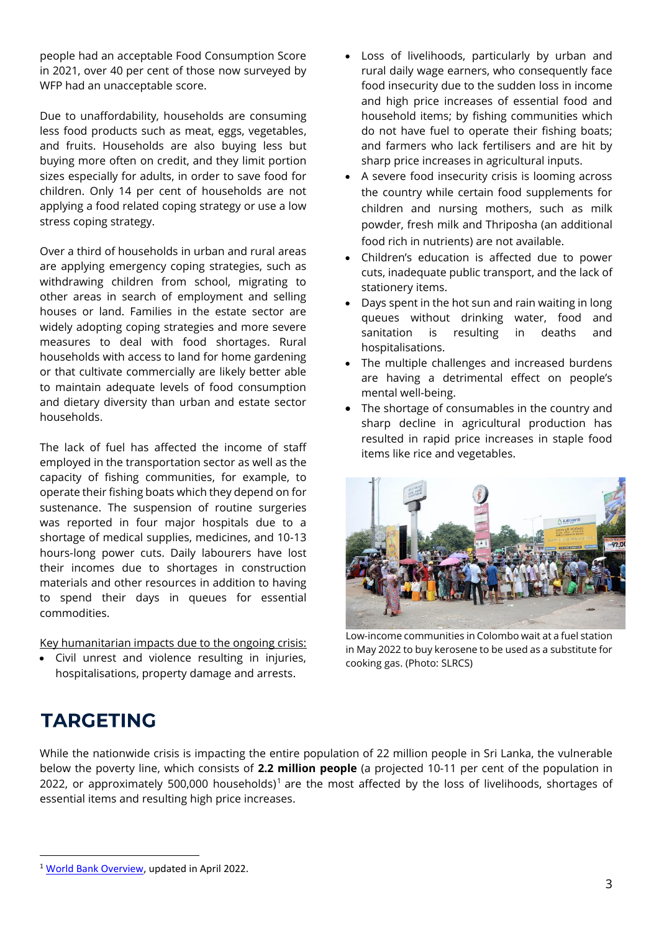people had an acceptable Food Consumption Score in 2021, over 40 per cent of those now surveyed by WFP had an unacceptable score.

Due to unaffordability, households are consuming less food products such as meat, eggs, vegetables, and fruits. Households are also buying less but buying more often on credit, and they limit portion sizes especially for adults, in order to save food for children. Only 14 per cent of households are not applying a food related coping strategy or use a low stress coping strategy.

Over a third of households in urban and rural areas are applying emergency coping strategies, such as withdrawing children from school, migrating to other areas in search of employment and selling houses or land. Families in the estate sector are widely adopting coping strategies and more severe measures to deal with food shortages. Rural households with access to land for home gardening or that cultivate commercially are likely better able to maintain adequate levels of food consumption and dietary diversity than urban and estate sector households.

The lack of fuel has affected the income of staff employed in the transportation sector as well as the capacity of fishing communities, for example, to operate their fishing boats which they depend on for sustenance. The suspension of routine surgeries was reported in four major hospitals due to a shortage of medical supplies, medicines, and 10-13 hours-long power cuts. Daily labourers have lost their incomes due to shortages in construction materials and other resources in addition to having to spend their days in queues for essential commodities.

Key humanitarian impacts due to the ongoing crisis:

• Civil unrest and violence resulting in injuries, hospitalisations, property damage and arrests.

- Loss of livelihoods, particularly by urban and rural daily wage earners, who consequently face food insecurity due to the sudden loss in income and high price increases of essential food and household items; by fishing communities which do not have fuel to operate their fishing boats; and farmers who lack fertilisers and are hit by sharp price increases in agricultural inputs.
- A severe food insecurity crisis is looming across the country while certain food supplements for children and nursing mothers, such as milk powder, fresh milk and Thriposha (an additional food rich in nutrients) are not available.
- Children's education is affected due to power cuts, inadequate public transport, and the lack of stationery items.
- Days spent in the hot sun and rain waiting in long queues without drinking water, food and sanitation is resulting in deaths and hospitalisations.
- The multiple challenges and increased burdens are having a detrimental effect on people's mental well-being.
- The shortage of consumables in the country and sharp decline in agricultural production has resulted in rapid price increases in staple food items like rice and vegetables.



Low-income communities in Colombo wait at a fuel station in May 2022 to buy kerosene to be used as a substitute for cooking gas. (Photo: SLRCS)

## **TARGETING**

While the nationwide crisis is impacting the entire population of 22 million people in Sri Lanka, the vulnerable below the poverty line, which consists of **2.2 million people** (a projected 10-11 per cent of the population in 2022, or approximately 500,000 households)<sup>1</sup> are the most affected by the loss of livelihoods, shortages of essential items and resulting high price increases.

<sup>&</sup>lt;sup>1</sup> [World Bank Overview,](https://www.worldbank.org/en/country/srilanka/overview#1) updated in April 2022.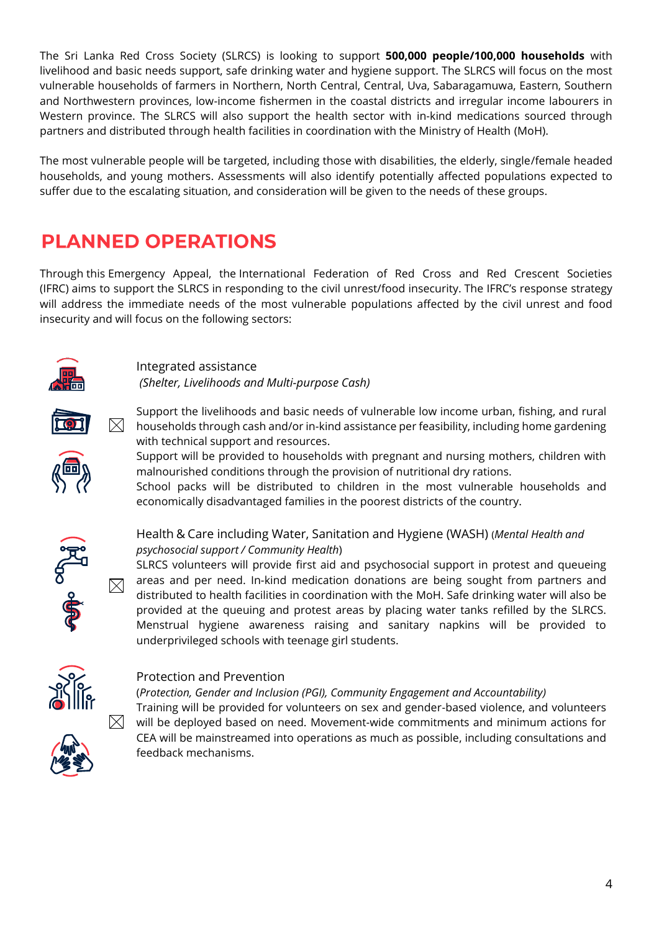The Sri Lanka Red Cross Society (SLRCS) is looking to support **500,000 people/100,000 households** with livelihood and basic needs support, safe drinking water and hygiene support. The SLRCS will focus on the most vulnerable households of farmers in Northern, North Central, Central, Uva, Sabaragamuwa, Eastern, Southern and Northwestern provinces, low-income fishermen in the coastal districts and irregular income labourers in Western province. The SLRCS will also support the health sector with in-kind medications sourced through partners and distributed through health facilities in coordination with the Ministry of Health (MoH).

The most vulnerable people will be targeted, including those with disabilities, the elderly, single/female headed households, and young mothers. Assessments will also identify potentially affected populations expected to suffer due to the escalating situation, and consideration will be given to the needs of these groups.

## **PLANNED OPERATIONS**

Through this Emergency Appeal, the International Federation of Red Cross and Red Crescent Societies (IFRC) aims to support the SLRCS in responding to the civil unrest/food insecurity. The IFRC's response strategy will address the immediate needs of the most vulnerable populations affected by the civil unrest and food insecurity and will focus on the following sectors:



#### Integrated assistance *(Shelter, Livelihoods and Multi-purpose Cash)*



Support the livelihoods and basic needs of vulnerable low income urban, fishing, and rural  $\boxtimes$ households through cash and/or in-kind assistance per feasibility, including home gardening with technical support and resources.

Support will be provided to households with pregnant and nursing mothers, children with malnourished conditions through the provision of nutritional dry rations.

School packs will be distributed to children in the most vulnerable households and economically disadvantaged families in the poorest districts of the country.



 $\boxtimes$ 

 $\boxtimes$ 

Health & Care including Water, Sanitation and Hygiene (WASH) (*Mental Health and psychosocial support / Community Health*)

SLRCS volunteers will provide first aid and psychosocial support in protest and queueing areas and per need. In-kind medication donations are being sought from partners and distributed to health facilities in coordination with the MoH. Safe drinking water will also be provided at the queuing and protest areas by placing water tanks refilled by the SLRCS. Menstrual hygiene awareness raising and sanitary napkins will be provided to underprivileged schools with teenage girl students.



#### Protection and Prevention

#### (*Protection, Gender and Inclusion (PGI), Community Engagement and Accountability)*

Training will be provided for volunteers on sex and gender-based violence, and volunteers will be deployed based on need. Movement-wide commitments and minimum actions for CEA will be mainstreamed into operations as much as possible, including consultations and feedback mechanisms.

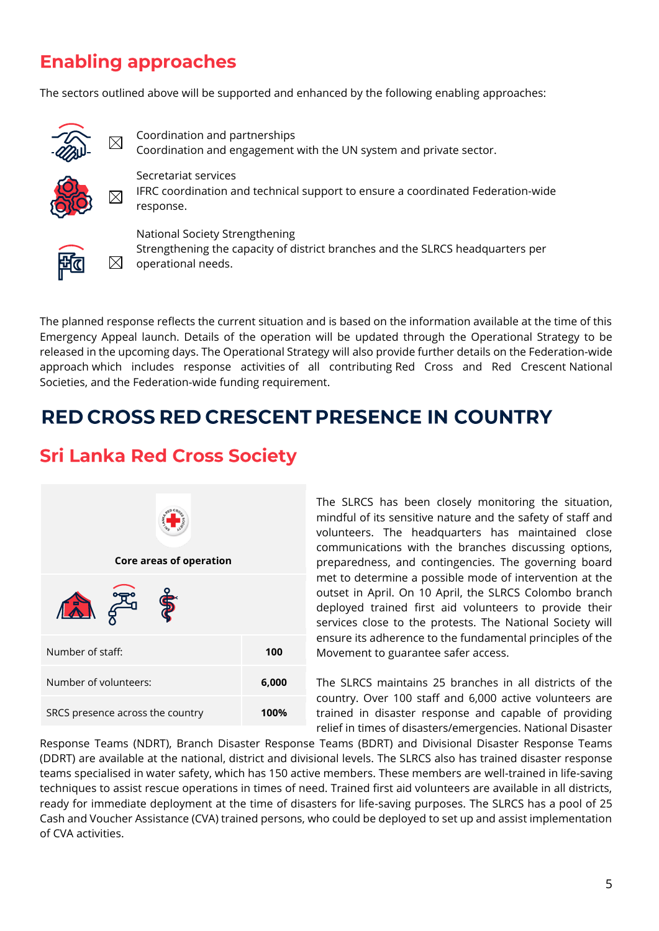## **Enabling approaches**

 $\boxtimes$ 

 $\boxtimes$ 

 $\boxtimes$ 

The sectors outlined above will be supported and enhanced by the following enabling approaches:



Coordination and partnerships

Coordination and engagement with the UN system and private sector.



Secretariat services IFRC coordination and technical support to ensure a coordinated Federation-wide response.



National Society Strengthening Strengthening the capacity of district branches and the SLRCS headquarters per operational needs.

The planned response reflects the current situation and is based on the information available at the time of this Emergency Appeal launch. Details of the operation will be updated through the Operational Strategy to be released in the upcoming days. The Operational Strategy will also provide further details on the Federation-wide approach which includes response activities of all contributing Red Cross and Red Crescent National Societies, and the Federation-wide funding requirement.

## RED CROSS RED CRESCENT PRESENCE IN COUNTRY

## **Sri Lanka Red Cross Society**



The SLRCS has been closely monitoring the situation, mindful of its sensitive nature and the safety of staff and volunteers. The headquarters has maintained close communications with the branches discussing options, preparedness, and contingencies. The governing board met to determine a possible mode of intervention at the outset in April. On 10 April, the SLRCS Colombo branch deployed trained first aid volunteers to provide their services close to the protests. The National Society will ensure its adherence to the fundamental principles of the Movement to guarantee safer access.

The SLRCS maintains 25 branches in all districts of the country. Over 100 staff and 6,000 active volunteers are trained in disaster response and capable of providing relief in times of disasters/emergencies. National Disaster

Response Teams (NDRT), Branch Disaster Response Teams (BDRT) and Divisional Disaster Response Teams (DDRT) are available at the national, district and divisional levels. The SLRCS also has trained disaster response teams specialised in water safety, which has 150 active members. These members are well-trained in life-saving techniques to assist rescue operations in times of need. Trained first aid volunteers are available in all districts, ready for immediate deployment at the time of disasters for life-saving purposes. The SLRCS has a pool of 25 Cash and Voucher Assistance (CVA) trained persons, who could be deployed to set up and assist implementation of CVA activities.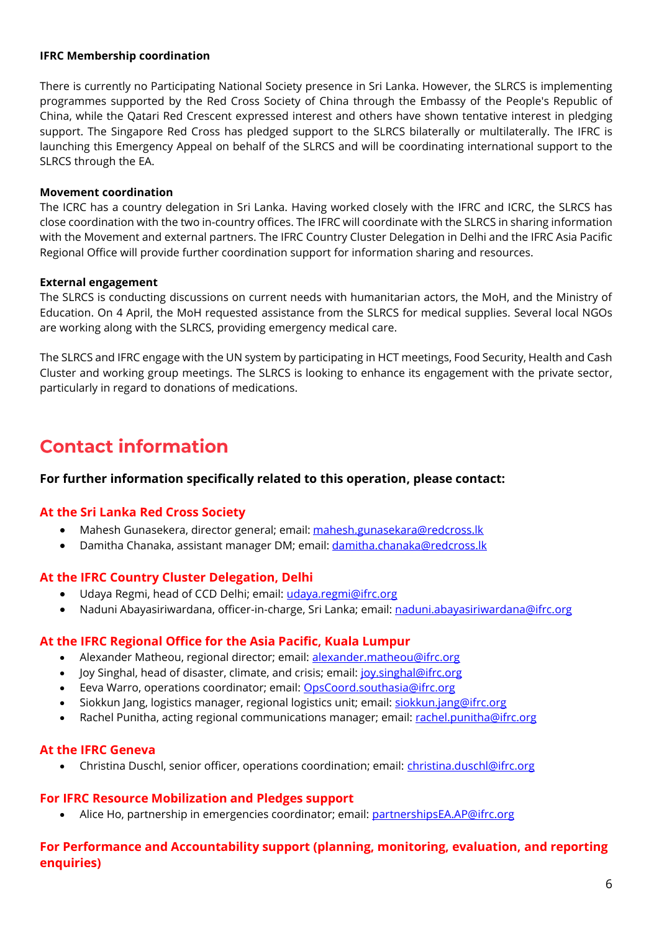#### **IFRC Membership coordination**

There is currently no Participating National Society presence in Sri Lanka. However, the SLRCS is implementing programmes supported by the Red Cross Society of China through the Embassy of the People's Republic of China, while the Qatari Red Crescent expressed interest and others have shown tentative interest in pledging support. The Singapore Red Cross has pledged support to the SLRCS bilaterally or multilaterally. The IFRC is launching this Emergency Appeal on behalf of the SLRCS and will be coordinating international support to the SLRCS through the EA.

#### **Movement coordination**

The ICRC has a country delegation in Sri Lanka. Having worked closely with the IFRC and ICRC, the SLRCS has close coordination with the two in-country offices. The IFRC will coordinate with the SLRCS in sharing information with the Movement and external partners. The IFRC Country Cluster Delegation in Delhi and the IFRC Asia Pacific Regional Office will provide further coordination support for information sharing and resources.

#### **External engagement**

The SLRCS is conducting discussions on current needs with humanitarian actors, the MoH, and the Ministry of Education. On 4 April, the MoH requested assistance from the SLRCS for medical supplies. Several local NGOs are working along with the SLRCS, providing emergency medical care.

The SLRCS and IFRC engage with the UN system by participating in HCT meetings, Food Security, Health and Cash Cluster and working group meetings. The SLRCS is looking to enhance its engagement with the private sector, particularly in regard to donations of medications.

### **Contact information**

#### **For further information specifically related to this operation, please contact:**

#### **At the Sri Lanka Red Cross Society**

- Mahesh Gunasekera, director general; email: [mahesh.gunasekara@redcross.lk](mailto:mahesh.gunasekara@redcross.lk)
- Damitha Chanaka, assistant manager DM; email: [damitha.chanaka@redcross.lk](mailto:damitha.chanaka@redcross.lk)

#### **At the IFRC Country Cluster Delegation, Delhi**

- Udaya Regmi, head of CCD Delhi; email: [udaya.regmi@ifrc.org](mailto:udaya.regmi@ifrc.org)
- Naduni Abayasiriwardana, officer-in-charge, Sri Lanka; email: [naduni.abayasiriwardana@ifrc.org](mailto:naduni.abayasiriwardana@ifrc.org)

#### **At the IFRC Regional Office for the Asia Pacific, Kuala Lumpur**

- Alexander Matheou, regional director; email: [alexander.matheou@ifrc.org](mailto:alexander.matheou@ifrc.org)
- Joy Singhal, head of disaster, climate, and crisis; email: [joy.singhal@ifrc.org](mailto:joy.singhal@ifrc.org)
- Eeva Warro, operations coordinator; email: [OpsCoord.southasia@ifrc.org](mailto:OpsCoord.southasia@ifrc.org)
- Siokkun Jang, logistics manager, regional logistics unit; email: [siokkun.jang@ifrc.org](mailto:siokkun.jang@ifrc.org)
- Rachel Punitha, acting regional communications manager; email: [rachel.punitha@ifrc.org](mailto:rachel.punitha@ifrc.org)

#### **At the IFRC Geneva**

Christina Duschl, senior officer, operations coordination; email: [christina.duschl@ifrc.org](mailto:christina.duschl@ifrc.org)

#### **For IFRC Resource Mobilization and Pledges support**

• Alice Ho, partnership in emergencies coordinator; email: [partnershipsEA.AP@ifrc.org](mailto:partnershipsEA.AP@ifrc.org)

#### **For Performance and Accountability support (planning, monitoring, evaluation, and reporting enquiries)**